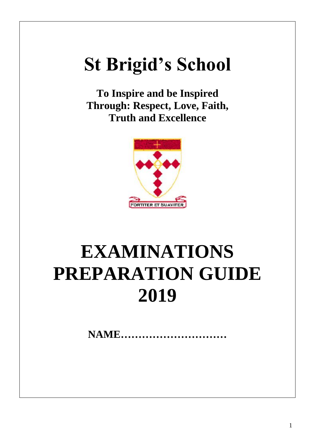# **St Brigid's School**

**To Inspire and be Inspired Through: Respect, Love, Faith, Truth and Excellence**



# **EXAMINATIONS PREPARATION GUIDE 2019**

**NAME…………………………**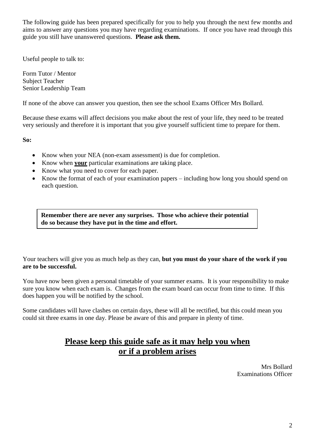The following guide has been prepared specifically for you to help you through the next few months and aims to answer any questions you may have regarding examinations. If once you have read through this guide you still have unanswered questions. **Please ask them.**

Useful people to talk to:

Form Tutor / Mentor Subject Teacher Senior Leadership Team

If none of the above can answer you question, then see the school Exams Officer Mrs Bollard.

Because these exams will affect decisions you make about the rest of your life, they need to be treated very seriously and therefore it is important that you give yourself sufficient time to prepare for them.

**So:**

- Know when your NEA (non-exam assessment) is due for completion.
- Know when **your** particular examinations are taking place.
- Know what you need to cover for each paper.
- Know the format of each of your examination papers including how long you should spend on each question.

**Remember there are never any surprises. Those who achieve their potential do so because they have put in the time and effort.**

Your teachers will give you as much help as they can, **but you must do your share of the work if you are to be successful.**

You have now been given a personal timetable of your summer exams. It is your responsibility to make sure you know when each exam is. Changes from the exam board can occur from time to time. If this does happen you will be notified by the school.

Some candidates will have clashes on certain days, these will all be rectified, but this could mean you could sit three exams in one day. Please be aware of this and prepare in plenty of time.

## **Please keep this guide safe as it may help you when or if a problem arises**

Mrs Bollard Examinations Officer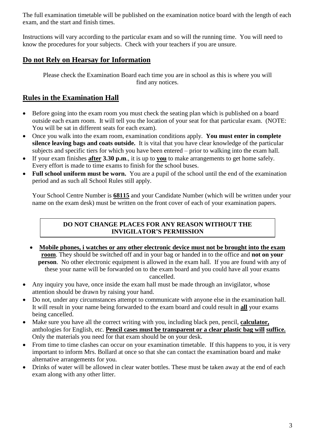The full examination timetable will be published on the examination notice board with the length of each exam, and the start and finish times.

Instructions will vary according to the particular exam and so will the running time. You will need to know the procedures for your subjects. Check with your teachers if you are unsure.

### **Do not Rely on Hearsay for Information**

Please check the Examination Board each time you are in school as this is where you will find any notices.

## **Rules in the Examination Hall**

- Before going into the exam room you must check the seating plan which is published on a board outside each exam room. It will tell you the location of your seat for that particular exam. (NOTE: You will be sat in different seats for each exam).
- Once you walk into the exam room, examination conditions apply. **You must enter in complete silence leaving bags and coats outside.** It is vital that you have clear knowledge of the particular subjects and specific tiers for which you have been entered – prior to walking into the exam hall.
- If your exam finishes **after 3.30 p.m**., it is up to **you** to make arrangements to get home safely. Every effort is made to time exams to finish for the school buses.
- **Full school uniform must be worn.** You are a pupil of the school until the end of the examination period and as such all School Rules still apply.

Your School Centre Number is **68115** and your Candidate Number (which will be written under your name on the exam desk) must be written on the front cover of each of your examination papers.

### **DO NOT CHANGE PLACES FOR ANY REASON WITHOUT THE INVIGILATOR'S PERMISSION**

- **Mobile phones, i watches or any other electronic device must not be brought into the exam room**. They should be switched off and in your bag or handed in to the office and **not on your person**. No other electronic equipment is allowed in the exam hall. If you are found with any of these your name will be forwarded on to the exam board and you could have all your exams cancelled.
- Any inquiry you have, once inside the exam hall must be made through an invigilator, whose attention should be drawn by raising your hand.
- Do not, under any circumstances attempt to communicate with anyone else in the examination hall. It will result in your name being forwarded to the exam board and could result in **all** your exams being cancelled.
- Make sure you have all the correct writing with you, including black pen, pencil, **calculator,** anthologies for English, etc. **Pencil cases must be transparent or a clear plastic bag will suffice.** Only the materials you need for that exam should be on your desk.
- From time to time clashes can occur on your examination timetable. If this happens to you, it is very important to inform Mrs. Bollard at once so that she can contact the examination board and make alternative arrangements for you.
- Drinks of water will be allowed in clear water bottles. These must be taken away at the end of each exam along with any other litter.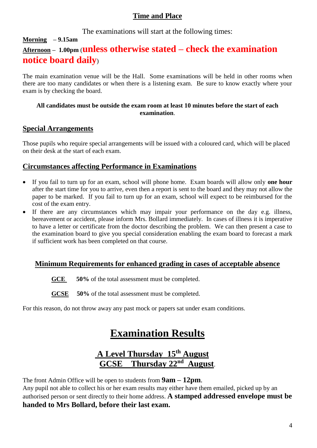### **Time and Place**

The examinations will start at the following times:

# **Morning – 9.15am Afternoon – 1.00pm** (**unless otherwise stated – check the examination notice board daily**)

The main examination venue will be the Hall. Some examinations will be held in other rooms when there are too many candidates or when there is a listening exam. Be sure to know exactly where your exam is by checking the board.

### **All candidates must be outside the exam room at least 10 minutes before the start of each examination**.

### **Special Arrangements**

Those pupils who require special arrangements will be issued with a coloured card, which will be placed on their desk at the start of each exam.

### **Circumstances affecting Performance in Examinations**

- If you fail to turn up for an exam, school will phone home. Exam boards will allow only **one hour** after the start time for you to arrive, even then a report is sent to the board and they may not allow the paper to be marked. If you fail to turn up for an exam, school will expect to be reimbursed for the cost of the exam entry.
- If there are any circumstances which may impair your performance on the day e.g. illness, bereavement or accident, please inform Mrs. Bollard immediately. In cases of illness it is imperative to have a letter or certificate from the doctor describing the problem. We can then present a case to the examination board to give you special consideration enabling the exam board to forecast a mark if sufficient work has been completed on that course.

### **Minimum Requirements for enhanced grading in cases of acceptable absence**

GCE 50% of the total assessment must be completed.

**GCSE 50%** of the total assessment must be completed.

For this reason, do not throw away any past mock or papers sat under exam conditions.

# **Examination Results**

# **A Level Thursday 15th August <u>GCSE** Thursday 22<sup>nd</sup> August</u>.

The front Admin Office will be open to students from **9am – 12pm**.

Any pupil not able to collect his or her exam results may either have them emailed, picked up by an authorised person or sent directly to their home address. **A stamped addressed envelope must be handed to Mrs Bollard, before their last exam.**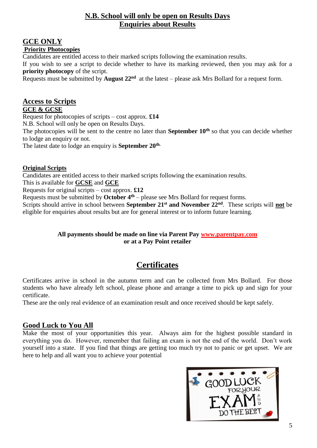### **N.B. School will only be open on Results Days Enquiries about Results**

### **GCE ONLY Priority Photocopies**

Candidates are entitled access to their marked scripts following the examination results.

If you wish to see a script to decide whether to have its marking reviewed, then you may ask for a **priority photocopy** of the script.

Requests must be submitted by **August 22<sup>nd</sup>** at the latest – please ask Mrs Bollard for a request form.

### **Access to Scripts**

### **GCE & GCSE**

Request for photocopies of scripts – cost approx. **£14**

N.B. School will only be open on Results Days.

The photocopies will be sent to the centre no later than **September 10th** so that you can decide whether to lodge an enquiry or not.

The latest date to lodge an enquiry is **September 20th.**

### **Original Scripts**

Candidates are entitled access to their marked scripts following the examination results.

This is available for **GCSE** and **GCE**

Requests for original scripts – cost approx. **£12**

Requests must be submitted by **October 4th** – please see Mrs Bollard for request forms.

Scripts should arrive in school between **September 21st and November 22nd**. These scripts will **not** be eligible for enquiries about results but are for general interest or to inform future learning.

### **All payments should be made on line via Parent Pay [www.parentpay.com](http://www.parentpay.com/) or at a Pay Point retailer**

# **Certificates**

Certificates arrive in school in the autumn term and can be collected from Mrs Bollard. For those students who have already left school, please phone and arrange a time to pick up and sign for your certificate.

These are the only real evidence of an examination result and once received should be kept safely.

### **Good Luck to You All**

Make the most of your opportunities this year. Always aim for the highest possible standard in everything you do. However, remember that failing an exam is not the end of the world. Don't work yourself into a state. If you find that things are getting too much try not to panic or get upset. We are here to help and all want you to achieve your potential